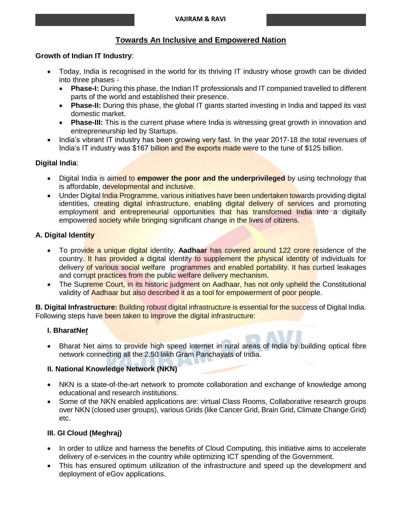## **Towards An Inclusive and Empowered Nation**

### **Growth of Indian IT Industry**:

- Today, India is recognised in the world for its thriving IT industry whose growth can be divided into three phases -
	- **Phase-I:** During this phase, the Indian IT professionals and IT companied travelled to different parts of the world and established their presence.
	- Phase-II: During this phase, the global IT giants started investing in India and tapped its vast domestic market.
	- Phase-III: This is the current phase where India is witnessing great growth in innovation and entrepreneurship led by Startups.
- India's vibrant IT industry has been growing very fast. In the year 2017-18 the total revenues of India's IT industry was \$167 billion and the exports made were to the tune of \$125 billion.

### **Digital India**:

- Digital India is aimed to **empower the poor and the underprivileged** by using technology that is affordable, developmental and inclusive.
- Under Digital India Programme, various initiatives have been undertaken towards providing digital identities, creating digital infrastructure, enabling digital delivery of services and promoting employment and entrepreneurial opportunities that has transformed India into a digitally empowered society while bringing significant change in the lives of citizens.

### **A. Digital Identity**

- To provide a unique digital identity, **Aadhaar** has covered around 122 crore residence of the country. It has provided a digital identity to supplement the physical identity of individuals for delivery of various social welfare programmes and enabled portability. It has curbed leakages and corrupt practices from the public welfare delivery mechanism.
- The Supreme Court, in its historic judgment on Aadhaar, has not only upheld the Constitutional validity of Aadhaar but also described it as a tool for empowerment of poor people.

**B. Digital Infrastructure:** Building robust digital infrastructure is essential for the success of Digital India. Following steps have been taken to improve the digital infrastructure:

### **I. BharatNe***t*

 Bharat Net aims to provide high speed internet in rural areas of India by building optical fibre network connecting all the 2.50 lakh Gram Panchayats of India.

### **II. National Knowledge Network (NKN)**

- NKN is a state-of-the-art network to promote collaboration and exchange of knowledge among educational and research institutions.
- Some of the NKN enabled applications are: virtual Class Rooms, Collaborative research groups over NKN (closed user groups), various Grids (like Cancer Grid, Brain Grid, Climate Change Grid) etc.

### **III. GI Cloud (Meghraj)**

- In order to utilize and harness the benefits of Cloud Computing, this initiative aims to accelerate delivery of e-services in the country while optimizing ICT spending of the Government.
- This has ensured optimum utilization of the infrastructure and speed up the development and deployment of eGov applications.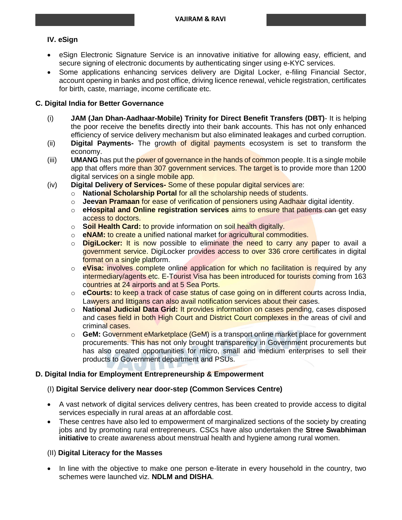### **IV. eSign**

- eSign Electronic Signature Service is an innovative initiative for allowing easy, efficient, and secure signing of electronic documents by authenticating singer using e-KYC services.
- Some applications enhancing services delivery are Digital Locker, e-filing Financial Sector, account opening in banks and post office, driving licence renewal, vehicle registration, certificates for birth, caste, marriage, income certificate etc.

### **C. Digital India for Better Governance**

- (i) **JAM (Jan Dhan-Aadhaar-Mobile) Trinity for Direct Benefit Transfers (DBT)** It is helping the poor receive the benefits directly into their bank accounts. This has not only enhanced efficiency of service delivery mechanism but also eliminated leakages and curbed corruption.
- (ii) **Digital Payments-** The growth of digital payments ecosystem is set to transform the economy.
- (iii) **UMANG** has put the power of governance in the hands of common people. It is a single mobile app that offers more than 307 government services. The target is to provide more than 1200 digital services on a single mobile app.
- (iv) **Digital Delivery of Services-** Some of these popular digital services are:
	- o **National Scholarship Portal** for all the scholarship needs of students.
	- o **Jeevan Pramaan** for ease of verification of pensioners using Aadhaar digital identity.
	- o **eHospital and Online registration services** aims to ensure that patients can get easy access to doctors.
	- o **Soil Health Card:** to provide information on soil health digitally.
	- o **eNAM:** to create a unified national market for agricultural commodities.
	- o **DigiLocker:** It is now possible to eliminate the need to carry any paper to avail a government service. DigiLocker provides access to over 336 crore certificates in digital format on a single platform.
	- o **eVisa:** involves complete online application for which no facilitation is required by any intermediary/agents etc. E-Tourist Visa has been introduced for tourists coming from 163 countries at 24 airports and at 5 Sea Ports.
	- o **eCourts:** to keep a track of case status of case going on in different courts across India, Lawyers and littigans can also avail notification services about their cases.
	- o **National Judicial Data Grid:** It provides information on cases pending, cases disposed and cases field in both High Court and District Court complexes in the areas of civil and criminal cases.
	- o **GeM:** Government eMarketplace (GeM) is a transport online market place for government procurements. This has not only brought transparency in Government procurements but has also created opportunities for micro, small and medium enterprises to sell their products to Government department and PSUs.

### **D. Digital India for Employment Entrepreneurship & Empowerment**

### (I) **Digital Service delivery near door-step (Common Services Centre)**

- A vast network of digital services delivery centres, has been created to provide access to digital services especially in rural areas at an affordable cost.
- These centres have also led to empowerment of marginalized sections of the society by creating jobs and by promoting rural entrepreneurs. CSCs have also undertaken the **Stree Swabhiman initiative** to create awareness about menstrual health and hygiene among rural women.

### (II) **Digital Literacy for the Masses**

 In line with the objective to make one person e-literate in every household in the country, two schemes were launched viz. **NDLM and DISHA**.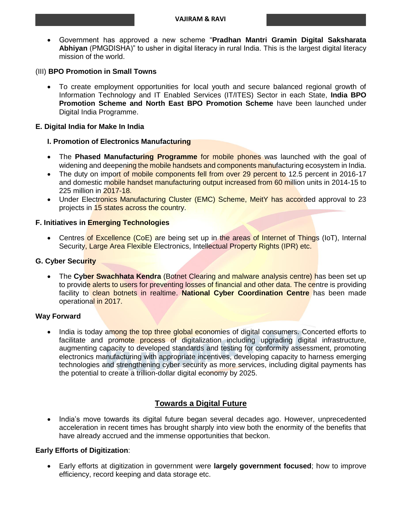Government has approved a new scheme "**Pradhan Mantri Gramin Digital Saksharata Abhiyan** (PMGDISHA)" to usher in digital literacy in rural India. This is the largest digital literacy mission of the world.

#### (III) **BPO Promotion in Small Towns**

 To create employment opportunities for local youth and secure balanced regional growth of Information Technology and IT Enabled Services (IT/ITES) Sector in each State, **India BPO Promotion Scheme and North East BPO Promotion Scheme** have been launched under Digital India Programme.

#### **E. Digital India for Make In India**

#### **I. Promotion of Electronics Manufacturing**

- The **Phased Manufacturing Programme** for mobile phones was launched with the goal of widening and deepening the mobile handsets and components manufacturing ecosystem in India.
- The duty on import of mobile components fell from over 29 percent to 12.5 percent in 2016-17 and domestic mobile handset manufacturing output increased from 60 million units in 2014-15 to 225 million in 2017-18.
- Under Electronics Manufacturing Cluster (EMC) Scheme, MeitY has accorded approval to 23 projects in 15 states across the country.

#### **F. Initiatives in Emerging Technologies**

• Centres of Excellence (CoE) are being set up in the areas of Internet of Things (IoT), Internal Security, Large Area Flexible Electronics, Intellectual Property Rights (IPR) etc.

#### **G. Cyber Security**

 The **Cyber Swachhata Kendra** (Botnet Clearing and malware analysis centre) has been set up to provide alerts to users for preventing losses of financial and other data. The centre is providing facility to clean botnets in realtime. **National Cyber Coordination Centre** has been made operational in 2017.

#### **Way Forward**

 India is today among the top three global economies of digital consumers. Concerted efforts to facilitate and promote process of digitalization including upgrading digital infrastructure, augmenting capacity to developed standards and testing for conformity assessment, promoting electronics manufacturing with appropriate incentives, developing capacity to harness emerging technologies and strengthening cyber security as more services, including digital payments has the potential to create a trillion-dollar digital economy by 2025.

## **Towards a Digital Future**

• India's move towards its digital future began several decades ago. However, unprecedented acceleration in recent times has brought sharply into view both the enormity of the benefits that have already accrued and the immense opportunities that beckon.

#### **Early Efforts of Digitization**:

 Early efforts at digitization in government were **largely government focused**; how to improve efficiency, record keeping and data storage etc.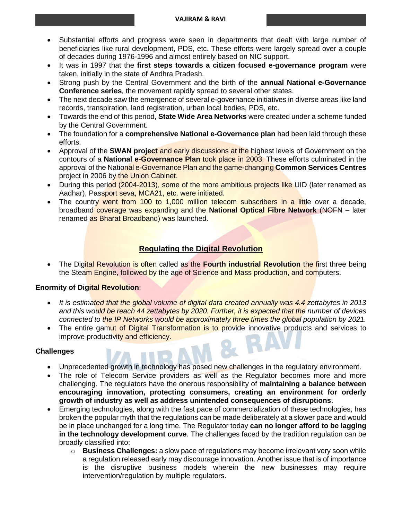#### **VAJIRAM & RAVI**

- Substantial efforts and progress were seen in departments that dealt with large number of beneficiaries like rural development, PDS, etc. These efforts were largely spread over a couple of decades during 1976-1996 and almost entirely based on NIC support.
- It was in 1997 that the **first steps towards a citizen focused e-governance program** were taken, initially in the state of Andhra Pradesh.
- Strong push by the Central Government and the birth of the **annual National e-Governance Conference series**, the movement rapidly spread to several other states.
- The next decade saw the emergence of several e-governance initiatives in diverse areas like land records, transpiration, land registration, urban local bodies, PDS, etc.
- Towards the end of this period, **State Wide Area Networks** were created under a scheme funded by the Central Government.
- The foundation for a **comprehensive National e-Governance plan** had been laid through these efforts.
- Approval of the **SWAN project** and early discussions at the highest levels of Government on the contours of a **National e-Governance Plan** took place in 2003. These efforts culminated in the approval of the National e-Governance Plan and the game-changing **Common Services Centres** project in 2006 by the Union Cabinet.
- During this period (2004-2013), some of the more ambitious projects like UID (later renamed as Aadhar), Passport seva, MCA21, etc. were initiated.
- The country went from 100 to 1,000 million telecom subscribers in a little over a decade, broadband coverage was expanding and the **National Optical Fibre Network** (NOFN – later renamed as Bharat Broadband) was launched.

## **Regulating the Digital Revolution**

 The Digital Revolution is often called as the **Fourth industrial Revolution** the first three being the Steam Engine, followed by the age of Science and Mass production, and computers.

### **Enormity of Digital Revolution**:

- *It is estimated that the global volume of digital data created annually was 4.4 zettabytes in 2013 and this would be reach 44 zettabytes by 2020. Further, it is expected that the number of devices connected to the IP Networks would be approximately three times the global population by 2021.*
- The entire gamut of Digital Transformation is to provide innovative products and services to improve productivity and efficiency.

### **Challenges**

- Unprecedented growth in technology has posed new challenges in the regulatory environment.
- The role of Telecom Service providers as well as the Regulator becomes more and more challenging. The regulators have the onerous responsibility of **maintaining a balance between encouraging innovation, protecting consumers, creating an environment for orderly growth of industry as well as address unintended consequences of disruptions**.
- Emerging technologies, along with the fast pace of commercialization of these technologies, has broken the popular myth that the regulations can be made deliberately at a slower pace and would be in place unchanged for a long time. The Regulator today **can no longer afford to be lagging in the technology development curve**. The challenges faced by the tradition regulation can be broadly classified into:
	- o **Business Challenges:** a slow pace of regulations may become irrelevant very soon while a regulation released early may discourage innovation. Another issue that is of importance is the disruptive business models wherein the new businesses may require intervention/regulation by multiple regulators.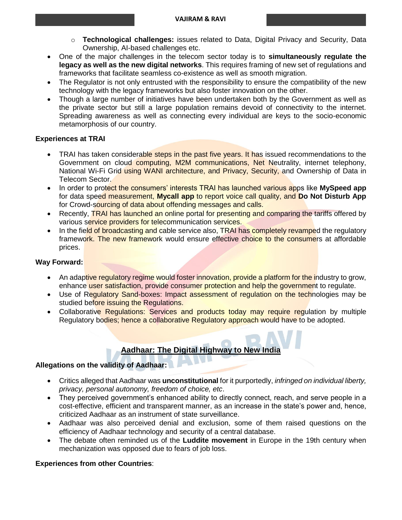- o **Technological challenges:** issues related to Data, Digital Privacy and Security, Data Ownership, AI-based challenges etc.
- One of the major challenges in the telecom sector today is to **simultaneously regulate the legacy as well as the new digital networks**. This requires framing of new set of regulations and frameworks that facilitate seamless co-existence as well as smooth migration.
- The Regulator is not only entrusted with the responsibility to ensure the compatibility of the new technology with the legacy frameworks but also foster innovation on the other.
- Though a large number of initiatives have been undertaken both by the Government as well as the private sector but still a large population remains devoid of connectivity to the internet. Spreading awareness as well as connecting every individual are keys to the socio-economic metamorphosis of our country.

### **Experiences at TRAI**

- TRAI has taken considerable steps in the past five years. It has issued recommendations to the Government on cloud computing, M2M communications, Net Neutrality, internet telephony, National Wi-Fi Grid using WANI architecture, and Privacy, Security, and Ownership of Data in Telecom Sector.
- In order to protect the consumers' interests TRAI has launched various apps like **MySpeed app** for data speed measurement, **Mycall app** to report voice call quality, and **Do Not Disturb App** for Crowd-sourcing of data about offending messages and calls.
- Recently, TRAI has launched an online portal for presenting and comparing the tariffs offered by various service providers for telecommunication services.
- In the field of broadcasting and cable service also, TRAI has completely revamped the regulatory framework. The new framework would ensure effective choice to the consumers at affordable prices.

## **Way Forward:**

- An adaptive regulatory regime would foster innovation, provide a platform for the industry to grow, enhance user satisfaction, provide consumer protection and help the government to regulate.
- Use of Regulatory Sand-boxes: Impact assessment of regulation on the technologies may be studied before issuing the Regulations.
- Collaborative Regulations: Services and products today may require regulation by multiple Regulatory bodies; hence a collaborative Regulatory approach would have to be adopted.

# **Aadhaar: The Digital Highway to New India**

### **Allegations on the validity of Aadhaar:**

- Critics alleged that Aadhaar was **unconstitutional** for it purportedly, *infringed on individual liberty, privacy, personal autonomy, freedom of choice, etc*.
- They perceived government's enhanced ability to directly connect, reach, and serve people in a cost-effective, efficient and transparent manner, as an increase in the state's power and, hence, criticized Aadhaar as an instrument of state surveillance.
- Aadhaar was also perceived denial and exclusion, some of them raised questions on the efficiency of Aadhaar technology and security of a central database.
- The debate often reminded us of the **Luddite movement** in Europe in the 19th century when mechanization was opposed due to fears of job loss.

### **Experiences from other Countries**: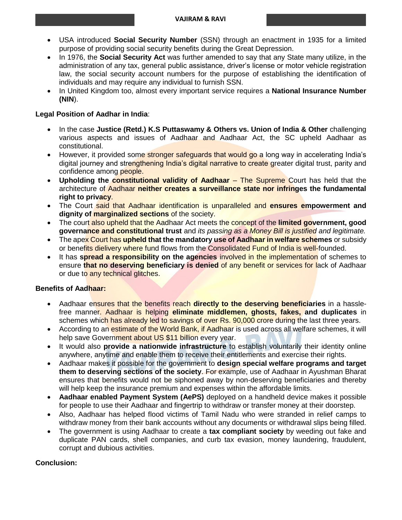- USA introduced **Social Security Number** (SSN) through an enactment in 1935 for a limited purpose of providing social security benefits during the Great Depression.
- In 1976, the **Social Security Act** was further amended to say that any State many utilize, in the administration of any tax, general public assistance, driver's license or motor vehicle registration law, the social security account numbers for the purpose of establishing the identification of individuals and may require any individual to furnish SSN.
- In United Kingdom too, almost every important service requires a **National Insurance Number (NIN**).

### **Legal Position of Aadhar in India**:

- In the case **Justice (Retd.) K.S Puttaswamy & Others vs. Union of India & Other** challenging various aspects and issues of Aadhaar and Aadhaar Act, the SC upheld Aadhaar as constitutional.
- However, it provided some stronger safeguards that would go a long way in accelerating India's digital journey and strengthening India's digital narrative to create greater digital trust, parity and confidence among people.
- **Upholding the constitutional validity of Aadhaar** The Supreme Court has held that the architecture of Aadhaar **neither creates a surveillance state nor infringes the fundamental right to privacy**.
- The Court said that Aadhaar identification is unparalleled and **ensures empowerment and dignity of marginalized sections** of the society.
- The court also upheld that the Aadhaar Act meets the concept of the **limited government, good governance and constitutional trust** and *its passing as a Money Bill is justified and legitimate.*
- The apex Court has **upheld that the mandatory use of Aadhaar in welfare schemes** or subsidy or benefits dielivery where fund flows from the Consolidated Fund of India is well-founded.
- It has **spread a responsibility on the agencies** involved in the implementation of schemes to ensure **that no deserving beneficiary is denied** of any benefit or services for lack of Aadhaar or due to any technical glitches.

### **Benefits of Aadhaar:**

- Aadhaar ensures that the benefits reach **directly to the deserving beneficiaries** in a hasslefree manner. Aadhaar is helping **eliminate middlemen, ghosts, fakes, and duplicates** in schemes which has already led to savings of over Rs. 90,000 crore during the last three years.
- According to an estimate of the World Bank, if Aadhaar is used across all welfare schemes, it will help save Government about US \$11 billion every year.
- It would also **provide a nationwide infrastructure** to establish voluntarily their identity online anywhere, anytime and enable them to receive their entitlements and exercise their rights.
- Aadhaar makes it possible for the government to **design special welfare programs and target them to deserving sections of the society**. For example, use of Aadhaar in Ayushman Bharat ensures that benefits would not be siphoned away by non-deserving beneficiaries and thereby will help keep the insurance premium and expenses within the affordable limits.
- **Aadhaar enabled Payment System (AePS)** deployed on a handheld device makes it possible for people to use their Aadhaar and fingertrip to withdraw or transfer money at their doorstep.
- Also, Aadhaar has helped flood victims of Tamil Nadu who were stranded in relief camps to withdraw money from their bank accounts without any documents or withdrawal slips being filled.
- The government is using Aadhaar to create a **tax compliant society** by weeding out fake and duplicate PAN cards, shell companies, and curb tax evasion, money laundering, fraudulent, corrupt and dubious activities.

### **Conclusion:**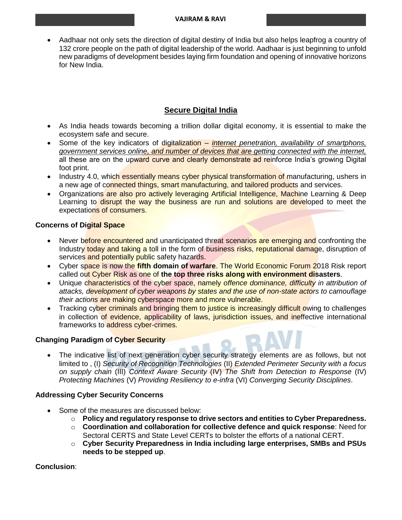Aadhaar not only sets the direction of digital destiny of India but also helps leapfrog a country of 132 crore people on the path of digital leadership of the world. Aadhaar is just beginning to unfold new paradigms of development besides laying firm foundation and opening of innovative horizons for New India.

## **Secure Digital India**

- As India heads towards becoming a trillion dollar digital economy, it is essential to make the ecosystem safe and secure.
- Some of the key indicators of digitalization *internet penetration, availability of smartphons, government services online, and number of devices that are getting connected with the internet,* all these are on the upward curve and clearly demonstrate ad reinforce India's growing Digital foot print.
- Industry 4.0, which essentially means cyber physical transformation of manufacturing, ushers in a new age of connected things, smart manufacturing, and tailored products and services.
- Organizations are also pro actively leveraging Artificial Intelligence, Machine Learning & Deep Learning to disrupt the way the business are run and solutions are developed to meet the expectations of consumers.

### **Concerns of Digital Space**

- Never before encountered and unanticipated threat scenarios are emerging and confronting the Industry today and taking a toll in the form of business risks, reputational damage, disruption of services and potentially public safety hazards.
- Cyber space is now the **fifth domain of warfare**. The World Economic Forum 2018 Risk report called out Cyber Risk as one of **the top three risks along with environment disasters**.
- Unique characteristics of the cyber space, namely *offence dominance, difficulty in attribution of attacks, development of cyber weapons by states and the use of non-state actors to camouflage their actions* are making cyberspace more and more vulnerable.
- Tracking cyber criminals and bringing them to justice is increasingly difficult owing to challenges in collection of evidence, applicability of laws, jurisdiction issues, and ineffective international frameworks to address cyber-crimes.

### **Changing Paradigm of Cyber Security**

 The indicative list of next generation cyber security strategy elements are as follows, but not limited to , (I) *Security of Recognition Technologies* (II) *Extended Perimeter Security with a focus on supply chain* (III) *Context Aware Security* (IV) *The Shift from Detection to Response* (IV) *Protecting Machines* (V) *Providing Resiliency to e-infra* (VI) *Converging Security Disciplines*.

### **Addressing Cyber Security Concerns**

- Some of the measures are discussed below:
	- o **Policy and regulatory response to drive sectors and entities to Cyber Preparedness.**
	- o **Coordination and collaboration for collective defence and quick response**: Need for Sectoral CERTS and State Level CERTs to bolster the efforts of a national CERT.
	- o **Cyber Security Preparedness in India including large enterprises, SMBs and PSUs needs to be stepped up**.

### **Conclusion**: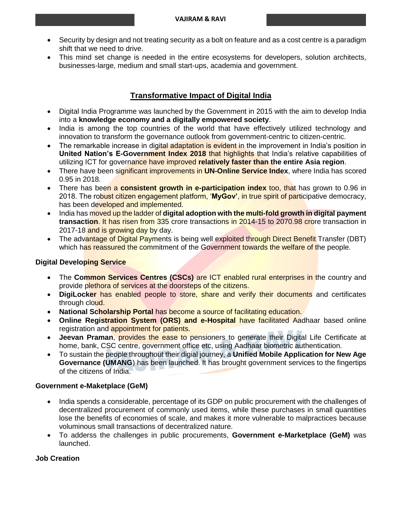- Security by design and not treating security as a bolt on feature and as a cost centre is a paradigm shift that we need to drive.
- This mind set change is needed in the entire ecosystems for developers, solution architects, businesses-large, medium and small start-ups, academia and government.

## **Transformative Impact of Digital India**

- Digital India Programme was launched by the Government in 2015 with the aim to develop India into a **knowledge economy and a digitally empowered society**.
- India is among the top countries of the world that have effectively utilized technology and innovation to transform the governance outlook from government-centric to citizen-centric.
- The remarkable increase in digital adaptation is evident in the improvement in India's position in **United Nation's E-Government Index 2018** that highlights that India's relative capabilities of utilizing ICT for governance have improved **relatively faster than the entire Asia region**.
- There have been significant improvements in **UN-Online Service Index**, where India has scored 0.95 in 2018.
- There has been a **consistent growth in e-participation index** too, that has grown to 0.96 in 2018. The robust citizen engagement platform, '**MyGov'**, in true spirit of participative democracy, has been developed and implemented.
- India has moved up the ladder of **digital adoption with the multi-fold growth in digital payment transaction**. It has risen from 335 crore transactions in 2014-15 to 2070.98 crore transaction in 2017-18 and is growing day by day.
- The advantage of Digital Payments is being well exploited through Direct Benefit Transfer (DBT) which has reassured the commitment of the Government towards the welfare of the people.

### **Digital Developing Service**

- The **Common Services Centres (CSCs)** are ICT enabled rural enterprises in the country and provide plethora of services at the doorsteps of the citizens.
- **DigiLocker** has enabled people to store, share and verify their documents and certificates through cloud.
- **National Scholarship Portal** has become a source of facilitating education.
- **Online Registration System (ORS) and e-Hospital have facilitated Aadhaar based online** registration and appointment for patients.
- **Jeevan Praman**, provides the ease to pensioners to generate their Digital Life Certificate at home, bank, CSC centre, government office etc, using Aadhaar biometric authentication.
- To sustain the people throughout their digial journey, a **Unified Mobile Application for New Age Governance (UMANG**) has been launched. It has brought government services to the fingertips of the citizens of India.

### **Government e-Maketplace (GeM)**

- India spends a considerable, percentage of its GDP on public procurement with the challenges of decentralized procurement of commonly used items, while these purchases in small quantities lose the benefits of economies of scale, and makes it more vulnerable to malpractices because voluminous small transactions of decentralized nature.
- To adderss the challenges in public procurements, **Government e-Marketplace (GeM)** was launched.

### **Job Creation**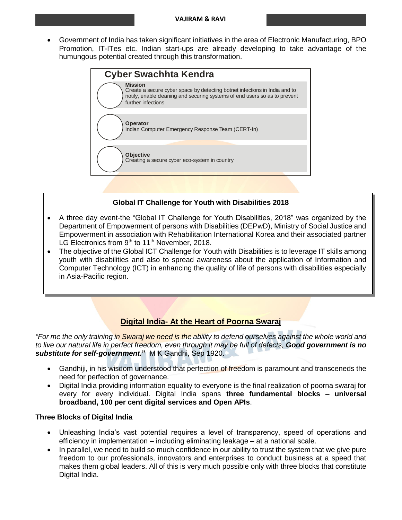Government of India has taken significant initiatives in the area of Electronic Manufacturing, BPO Promotion, IT-ITes etc. Indian start-ups are already developing to take advantage of the humungous potential created through this transformation.



## **Global IT Challenge for Youth with Disabilities 2018**

- A three day event-the "Global IT Challenge for Youth Disabilities, 2018" was organized by the Department of Empowerment of persons with Disabilities (DEPwD), Ministry of Social Justice and Empowerment in association with Rehabilitation International Korea and their associated partner LG Electronics from  $9<sup>th</sup>$  to 11<sup>th</sup> November, 2018.
- The objective of the Global ICT Challenge for Youth with Disabilities is to leverage IT skills among youth with disabilities and also to spread awareness about the application of Information and Computer Technology (ICT) in enhancing the quality of life of persons with disabilities especially in Asia-Pacific region.

## **Digital India- At the Heart of Poorna Swaraj**

*"For me the only training in Swaraj we need is the ability to defend ourselves against the whole world and to live our natural life in perfect freedom, even through it may be full of defects, Good government is no substitute for self-government.***"** M K Gandhi, Sep 1920.

- Gandhiji, in his wisdom understood that perfection of freedom is paramount and transceneds the need for perfection of governance.
- Digital India providing information equality to everyone is the final realization of poorna swaraj for every for every individual. Digital India spans **three fundamental blocks – universal broadband, 100 per cent digital services and Open APIs**.

### **Three Blocks of Digital India**

- Unleashing India's vast potential requires a level of transparency, speed of operations and efficiency in implementation – including eliminating leakage – at a national scale.
- In parallel, we need to build so much confidence in our ability to trust the system that we give pure freedom to our professionals, innovators and enterprises to conduct business at a speed that makes them global leaders. All of this is very much possible only with three blocks that constitute Digital India.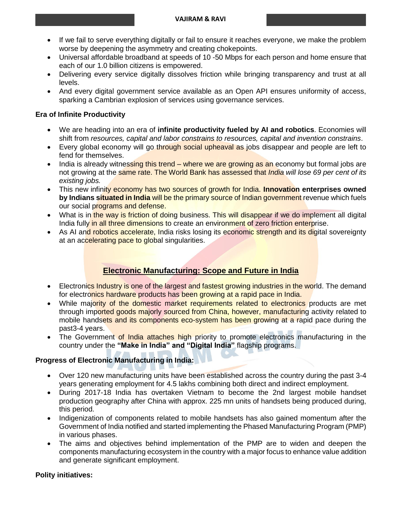- If we fail to serve everything digitally or fail to ensure it reaches everyone, we make the problem worse by deepening the asymmetry and creating chokepoints.
- Universal affordable broadband at speeds of 10 -50 Mbps for each person and home ensure that each of our 1.0 billion citizens is empowered.
- Delivering every service digitally dissolves friction while bringing transparency and trust at all levels.
- And every digital government service available as an Open API ensures uniformity of access, sparking a Cambrian explosion of services using governance services.

### **Era of Infinite Productivity**

- We are heading into an era of **infinite productivity fueled by AI and robotics**. Economies will shift from *resources, capital and labor constrains to resources, capital and invention constrains*.
- Every global economy will go through social upheaval as jobs disappear and people are left to fend for themselves.
- $\bullet$  India is already witnessing this trend where we are growing as an economy but formal jobs are not growing at the same rate. The World Bank has assessed that *India will lose 69 per cent of its existing jobs.*
- This new infinity economy has two sources of growth for India. **Innovation enterprises owned by Indians situated in India will be the primary source of Indian government** revenue which fuels our social programs and defense.
- What is in the way is friction of doing business. This will disappear if we do implement all digital India fully in all three dimensions to create an environment of zero friction enterprise.
- As AI and robotics accelerate, India risks losing its economic strength and its digital sovereignty at an accelerating pace to global singularities.

## **Electronic Manufacturing: Scope and Future in India**

- Electronics Industry is one of the largest and fastest growing industries in the world. The demand for electronics hardware products has been growing at a rapid pace in India.
- While majority of the domestic market requirements related to electronics products are met through imported goods majorly sourced from China, however, manufacturing activity related to mobile handsets and its components eco-system has been growing at a rapid pace during the past3-4 years.
- The Government of India attaches high priority to promote electronics manufacturing in the country under the **"Make in India" and "Digital India"** flagship programs.

### **Progress of Electronic Manufacturing in India:**

- Over 120 new manufacturing units have been established across the country during the past 3-4 years generating employment for 4.5 lakhs combining both direct and indirect employment.
- During 2017-18 India has overtaken Vietnam to become the 2nd largest mobile handset production geography after China with approx. 225 mn units of handsets being produced during, this period.
- Indigenization of components related to mobile handsets has also gained momentum after the Government of India notified and started implementing the Phased Manufacturing Program (PMP) in various phases.
- The aims and objectives behind implementation of the PMP are to widen and deepen the components manufacturing ecosystem in the country with a major focus to enhance value addition and generate significant employment.

### **Polity initiatives:**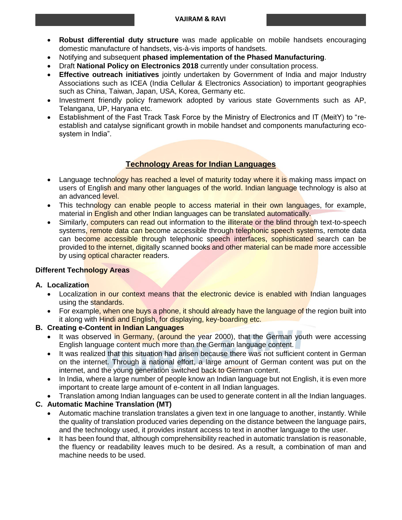- **Robust differential duty structure** was made applicable on mobile handsets encouraging domestic manufacture of handsets, vis-à-vis imports of handsets.
- Notifying and subsequent **phased implementation of the Phased Manufacturing**.
- Draft **National Policy on Electronics 2018** currently under consultation process.
- **Effective outreach initiatives** jointly undertaken by Government of India and major Industry Associations such as ICEA (India Cellular & Electronics Association) to important geographies such as China, Taiwan, Japan, USA, Korea, Germany etc.
- Investment friendly policy framework adopted by various state Governments such as AP, Telangana, UP, Haryana etc.
- Establishment of the Fast Track Task Force by the Ministry of Electronics and IT (MeitY) to "reestablish and catalyse significant growth in mobile handset and components manufacturing ecosystem in India".

## **Technology Areas for Indian Languages**

- Language technology has reached a level of maturity today where it is making mass impact on users of English and many other languages of the world. Indian language technology is also at an advanced level.
- This technology can enable people to access material in their own languages, for example, material in **English and other Indian languages can be translated automatically.**
- Similarly, computers can read out information to the illiterate or the blind through text-to-speech systems, remote data can become accessible through telephonic speech systems, remote data can become accessible through telephonic speech interfaces, sophisticated search can be provided to the internet, digitally scanned books and other material can be made more accessible by using optical character readers.

### **Different Technology Areas**

### **A. Localization**

- Localization in our context means that the electronic device is enabled with Indian languages using the standards.
- For example, when one buys a phone, it should already have the language of the region built into it along with Hindi and English, for displaying, key-boarding etc.

## **B. Creating e-Content in Indian Languages**

- It was observed in Germany, (around the year 2000), that the German youth were accessing English language content much more than the German language content.
- It was realized that this situation had arisen because there was not sufficient content in German on the internet. Through a national effort, a large amount of German content was put on the internet, and the young generation switched back to German content.
- In India, where a large number of people know an Indian language but not English, it is even more important to create large amount of e-content in all Indian languages.
- Translation among Indian languages can be used to generate content in all the Indian languages.

## **C. Automatic Machine Translation (MT)**

- Automatic machine translation translates a given text in one language to another, instantly. While the quality of translation produced varies depending on the distance between the language pairs, and the technology used, it provides instant access to text in another language to the user.
- It has been found that, although comprehensibility reached in automatic translation is reasonable, the fluency or readability leaves much to be desired. As a result, a combination of man and machine needs to be used.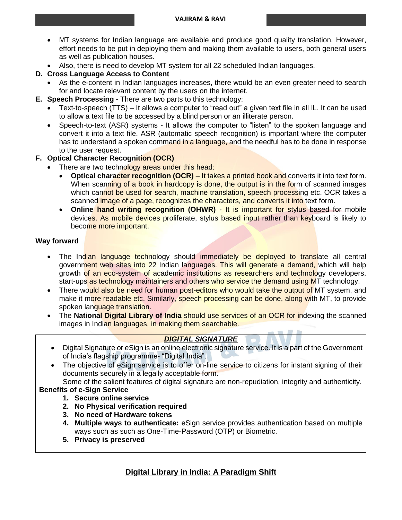- MT systems for Indian language are available and produce good quality translation. However, effort needs to be put in deploying them and making them available to users, both general users as well as publication houses.
- Also, there is need to develop MT system for all 22 scheduled Indian languages.

## **D. Cross Language Access to Content**

- As the e-content in Indian languages increases, there would be an even greater need to search for and locate relevant content by the users on the internet.
- **E. Speech Processing -** There are two parts to this technology:
	- Text-to-speech (TTS) It allows a computer to "read out" a given text file in all lL. It can be used to allow a text file to be accessed by a blind person or an illiterate person.
	- Speech-to-text (ASR) systems It allows the computer to "listen" to the spoken language and convert it into a text file. ASR (automatic speech recognition) is important where the computer has to understand a spoken command in a language, and the needful has to be done in response to the user request.
- **F. Optical Character Recognition (OCR)**
	- There are two technology areas under this head:
		- **Optical character recognition (OCR)** It takes a printed book and converts it into text form. When scanning of a book in hardcopy is done, the output is in the form of scanned images which cannot be used for search, machine translation, speech processing etc. OCR takes a scanned image of a page, recognizes the characters, and converts it into text form.
		- Online hand writing recognition (OHWR) It is important for stylus based for mobile devices. As mobile devices proliferate, stylus based input rather than keyboard is likely to become more important.

## **Way forward**

- The Indian language technology should immediately be deployed to translate all central government web sites into 22 Indian languages. This will generate a demand, which will help growth of an eco-system of academic institutions as researchers and technology developers, start-ups as technology maintainers and others who service the demand using MT technology.
- There would also be need for human post-editors who would take the output of MT system, and make it more readable etc. Similarly, speech processing can be done, along with MT, to provide spoken language translation.
- The **National Digital Library of India** should use services of an OCR for indexing the scanned images in Indian languages, in making them searchable.

## *DIGITAL SIGNATURE*

- Digital Signature or eSign is an online electronic signature service. It is a part of the Government of India's flagship programme- "Digital India".
- The objective of eSign service is to offer on-line service to citizens for instant signing of their documents securely in a legally acceptable form.

Some of the salient features of digital signature are non-repudiation, integrity and authenticity.

# **Benefits of e-Sign Service**

- **1. Secure online service**
- **2. No Physical verification required**
- **3. No need of Hardware tokens**
- **4. Multiple ways to authenticate:** eSign service provides authentication based on multiple ways such as such as One-Time-Password (OTP) or Biometric.
- **5. Privacy is preserved**

## **Digital Library in India: A Paradigm Shift**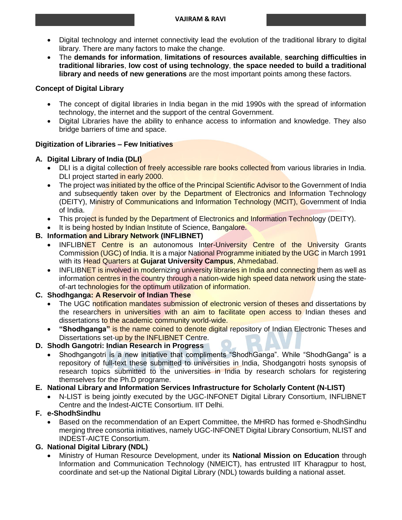- Digital technology and internet connectivity lead the evolution of the traditional library to digital library. There are many factors to make the change.
- The **demands for information**, **limitations of resources available**, **searching difficulties in traditional libraries**, **low cost of using technology**, **the space needed to build a traditional library and needs of new generations** are the most important points among these factors.

### **Concept of Digital Library**

- The concept of digital libraries in India began in the mid 1990s with the spread of information technology, the internet and the support of the central Government.
- Digital Libraries have the ability to enhance access to information and knowledge. They also bridge barriers of time and space.

### **Digitization of Libraries – Few Initiatives**

### **A. Digital Library of India (DLI)**

- DLI is a digital collection of freely accessible rare books collected from various libraries in India. DLI project started in early 2000.
- The project was initiated by the office of the Principal Scientific Advisor to the Government of India and subsequently taken over by the Department of Electronics and Information Technology (DEITY), Ministry of Communications and Information Technology (MCIT), Government of India of India.
- This project is funded by the Department of Electronics and Information Technology (DEITY).
- It is being hosted by Indian Institute of Science, Bangalore.

### **B. Information and Library Network (INFLIBNET)**

- INFLIBNET Centre is an autonomous Inter-University Centre of the University Grants Commission (UGC) of India. It is a major National Programme initiated by the UGC in March 1991 with its Head Quarters at **Gujarat University Campus**, Ahmedabad.
- INFLIBNET is involved in modernizing university libraries in India and connecting them as well as information centres in the country through a nation-wide high speed data network using the stateof-art technologies for the optimum utilization of information.

## **C. Shodhganga: A Reservoir of Indian These**

- The UGC notification mandates submission of electronic version of theses and dissertations by the researchers in universities with an aim to facilitate open access to Indian theses and dissertations to the academic community world-wide.
- **"Shodhganga"** is the name coined to denote digital repository of Indian Electronic Theses and Dissertations set-up by the **INFLIBNET** Centre.

### **D. Shodh Gangotri: Indian Research in Progress**

 Shodhgangotri is a new initiative that compliments "ShodhGanga". While "ShodhGanga" is a repository of full-text these submitted to universities in India, Shodgangotri hosts synopsis of research topics submitted to the universities in India by research scholars for registering themselves for the Ph.D programe.

### **E. National Library and Information Services Infrastructure for Scholarly Content (N-LIST)**

 N-LIST is being jointly executed by the UGC-INFONET Digital Library Consortium, INFLIBNET Centre and the Indest-AICTE Consortium. IIT Delhi.

## **F. e-ShodhSindhu**

 Based on the recommendation of an Expert Committee, the MHRD has formed e-ShodhSindhu merging three consortia initiatives, namely UGC-INFONET Digital Library Consortium, NLIST and INDEST-AICTE Consortium.

## **G. National Digital Library (NDL)**

 Ministry of Human Resource Development, under its **National Mission on Education** through Information and Communication Technology (NMEICT), has entrusted IIT Kharagpur to host, coordinate and set-up the National Digital Library (NDL) towards building a national asset.